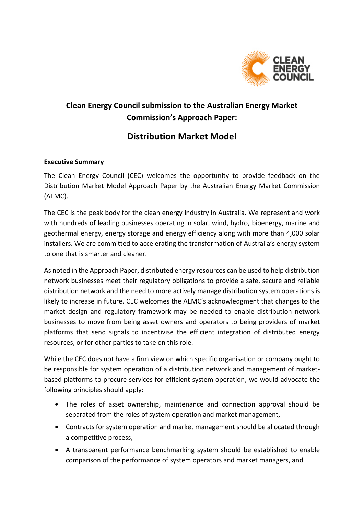

# **Clean Energy Council submission to the Australian Energy Market Commission's Approach Paper:**

## **Distribution Market Model**

#### **Executive Summary**

The Clean Energy Council (CEC) welcomes the opportunity to provide feedback on the Distribution Market Model Approach Paper by the Australian Energy Market Commission (AEMC).

The CEC is the peak body for the clean energy industry in Australia. We represent and work with hundreds of leading businesses operating in solar, wind, hydro, bioenergy, marine and geothermal energy, energy storage and energy efficiency along with more than 4,000 solar installers. We are committed to accelerating the transformation of Australia's energy system to one that is smarter and cleaner.

As noted in the Approach Paper, distributed energy resources can be used to help distribution network businesses meet their regulatory obligations to provide a safe, secure and reliable distribution network and the need to more actively manage distribution system operations is likely to increase in future. CEC welcomes the AEMC's acknowledgment that changes to the market design and regulatory framework may be needed to enable distribution network businesses to move from being asset owners and operators to being providers of market platforms that send signals to incentivise the efficient integration of distributed energy resources, or for other parties to take on this role.

While the CEC does not have a firm view on which specific organisation or company ought to be responsible for system operation of a distribution network and management of marketbased platforms to procure services for efficient system operation, we would advocate the following principles should apply:

- The roles of asset ownership, maintenance and connection approval should be separated from the roles of system operation and market management,
- Contracts for system operation and market management should be allocated through a competitive process,
- A transparent performance benchmarking system should be established to enable comparison of the performance of system operators and market managers, and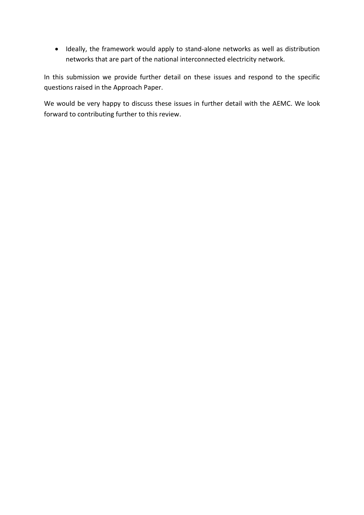Ideally, the framework would apply to stand-alone networks as well as distribution networks that are part of the national interconnected electricity network.

In this submission we provide further detail on these issues and respond to the specific questions raised in the Approach Paper.

We would be very happy to discuss these issues in further detail with the AEMC. We look forward to contributing further to this review.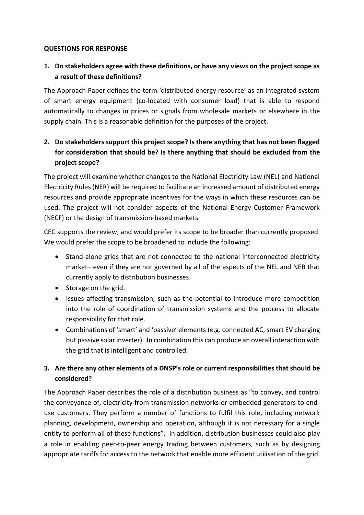#### **QUESTIONS FOR RESPONSE**

#### **1. Do stakeholders agree with these definitions, or have any views on the project scope as a result of these definitions?**

The Approach Paper defines the term 'distributed energy resource' as an integrated system of smart energy equipment (co-located with consumer load) that is able to respond automatically to changes in prices or signals from wholesale markets or elsewhere in the supply chain. This is a reasonable definition for the purposes of the project.

### **2. Do stakeholders support this project scope? Is there anything that has not been flagged for consideration that should be? Is there anything that should be excluded from the project scope?**

The project will examine whether changes to the National Electricity Law (NEL) and National Electricity Rules (NER) will be required to facilitate an increased amount of distributed energy resources and provide appropriate incentives for the ways in which these resources can be used. The project will not consider aspects of the National Energy Customer Framework (NECF) or the design of transmission-based markets.

CEC supports the review, and would prefer its scope to be broader than currently proposed. We would prefer the scope to be broadened to include the following:

- Stand-alone grids that are not connected to the national interconnected electricity market– even if they are not governed by all of the aspects of the NEL and NER that currently apply to distribution businesses.
- Storage on the grid.
- Issues affecting transmission, such as the potential to introduce more competition into the role of coordination of transmission systems and the process to allocate responsibility for that role.
- Combinations of 'smart' and 'passive' elements (e.g. connected AC, smart EV charging but passive solar inverter). In combination this can produce an overall interaction with the grid that is intelligent and controlled.

#### **3. Are there any other elements of a DNSP's role or current responsibilities that should be considered?**

The Approach Paper describes the role of a distribution business as "to convey, and control the conveyance of, electricity from transmission networks or embedded generators to enduse customers. They perform a number of functions to fulfil this role, including network planning, development, ownership and operation, although it is not necessary for a single entity to perform all of these functions". In addition, distribution businesses could also play a role in enabling peer-to-peer energy trading between customers, such as by designing appropriate tariffs for access to the network that enable more efficient utilisation of the grid.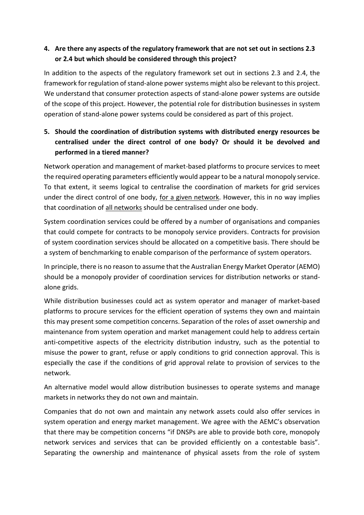#### **4. Are there any aspects of the regulatory framework that are not set out in sections 2.3 or 2.4 but which should be considered through this project?**

In addition to the aspects of the regulatory framework set out in sections 2.3 and 2.4, the framework for regulation of stand-alone power systems might also be relevant to this project. We understand that consumer protection aspects of stand-alone power systems are outside of the scope of this project. However, the potential role for distribution businesses in system operation of stand-alone power systems could be considered as part of this project.

### **5. Should the coordination of distribution systems with distributed energy resources be centralised under the direct control of one body? Or should it be devolved and performed in a tiered manner?**

Network operation and management of market-based platforms to procure services to meet the required operating parameters efficiently would appear to be a natural monopoly service. To that extent, it seems logical to centralise the coordination of markets for grid services under the direct control of one body, for a given network. However, this in no way implies that coordination of all networks should be centralised under one body.

System coordination services could be offered by a number of organisations and companies that could compete for contracts to be monopoly service providers. Contracts for provision of system coordination services should be allocated on a competitive basis. There should be a system of benchmarking to enable comparison of the performance of system operators.

In principle, there is no reason to assume that the Australian Energy Market Operator (AEMO) should be a monopoly provider of coordination services for distribution networks or standalone grids.

While distribution businesses could act as system operator and manager of market-based platforms to procure services for the efficient operation of systems they own and maintain this may present some competition concerns. Separation of the roles of asset ownership and maintenance from system operation and market management could help to address certain anti-competitive aspects of the electricity distribution industry, such as the potential to misuse the power to grant, refuse or apply conditions to grid connection approval. This is especially the case if the conditions of grid approval relate to provision of services to the network.

An alternative model would allow distribution businesses to operate systems and manage markets in networks they do not own and maintain.

Companies that do not own and maintain any network assets could also offer services in system operation and energy market management. We agree with the AEMC's observation that there may be competition concerns "if DNSPs are able to provide both core, monopoly network services and services that can be provided efficiently on a contestable basis". Separating the ownership and maintenance of physical assets from the role of system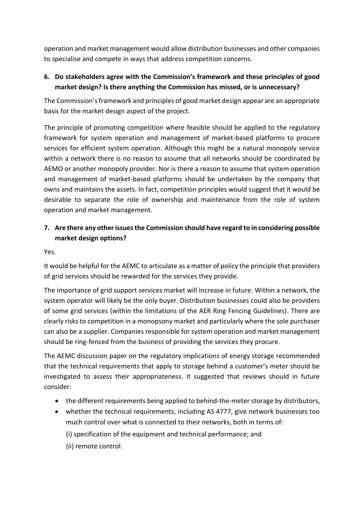operation and market management would allow distribution businesses and other companies to specialise and compete in ways that address competition concerns.

#### **6. Do stakeholders agree with the Commission's framework and these principles of good market design? Is there anything the Commission has missed, or is unnecessary?**

The Commission's framework and principles of good market design appear are an appropriate basis for the market design aspect of the project.

The principle of promoting competition where feasible should be applied to the regulatory framework for system operation and management of market-based platforms to procure services for efficient system operation. Although this might be a natural monopoly service within a network there is no reason to assume that all networks should be coordinated by AEMO or another monopoly provider. Nor is there a reason to assume that system operation and management of market-based platforms should be undertaken by the company that owns and maintains the assets. In fact, competition principles would suggest that it would be desirable to separate the role of ownership and maintenance from the role of system operation and market management.

#### **7. Are there any other issues the Commission should have regard to in considering possible market design options?**

Yes.

It would be helpful for the AEMC to articulate as a matter of policy the principle that providers of grid services should be rewarded for the services they provide.

The importance of grid support services market will increase in future. Within a network, the system operator will likely be the only buyer. Distribution businesses could also be providers of some grid services (within the limitations of the AER Ring Fencing Guidelines). There are clearly risks to competition in a monopsony market and particularly where the sole purchaser can also be a supplier. Companies responsible for system operation and market management should be ring-fenced from the business of providing the services they procure.

The AEMC discussion paper on the regulatory implications of energy storage recommended that the technical requirements that apply to storage behind a customer's meter should be investigated to assess their appropriateness. It suggested that reviews should in future consider:

- the different requirements being applied to behind-the-meter storage by distributors,
- whether the technical requirements, including AS 4777, give network businesses too much control over what is connected to their networks, both in terms of:
	- (i) specification of the equipment and technical performance; and
	- (ii) remote control.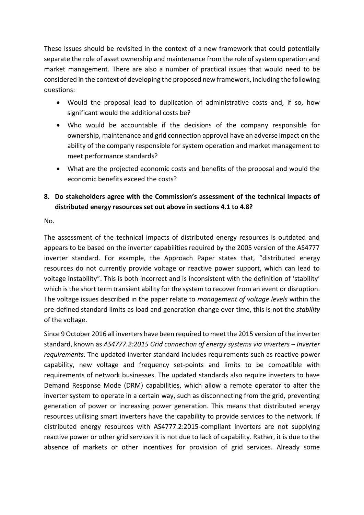These issues should be revisited in the context of a new framework that could potentially separate the role of asset ownership and maintenance from the role of system operation and market management. There are also a number of practical issues that would need to be considered in the context of developing the proposed new framework, including the following questions:

- Would the proposal lead to duplication of administrative costs and, if so, how significant would the additional costs be?
- Who would be accountable if the decisions of the company responsible for ownership, maintenance and grid connection approval have an adverse impact on the ability of the company responsible for system operation and market management to meet performance standards?
- What are the projected economic costs and benefits of the proposal and would the economic benefits exceed the costs?

#### **8. Do stakeholders agree with the Commission's assessment of the technical impacts of distributed energy resources set out above in sections 4.1 to 4.8?**

No.

The assessment of the technical impacts of distributed energy resources is outdated and appears to be based on the inverter capabilities required by the 2005 version of the AS4777 inverter standard. For example, the Approach Paper states that, "distributed energy resources do not currently provide voltage or reactive power support, which can lead to voltage instability". This is both incorrect and is inconsistent with the definition of 'stability' which is the short term transient ability for the system to recover from an event or disruption. The voltage issues described in the paper relate to *management of voltage levels* within the pre-defined standard limits as load and generation change over time, this is not the *stability* of the voltage.

Since 9 October 2016 all inverters have been required to meet the 2015 version of the inverter standard, known as *AS4777.2:2015 Grid connection of energy systems via inverters – Inverter requirements*. The updated inverter standard includes requirements such as reactive power capability, new voltage and frequency set-points and limits to be compatible with requirements of network businesses. The updated standards also require inverters to have Demand Response Mode (DRM) capabilities, which allow a remote operator to alter the inverter system to operate in a certain way, such as disconnecting from the grid, preventing generation of power or increasing power generation. This means that distributed energy resources utilising smart inverters have the capability to provide services to the network. If distributed energy resources with AS4777.2:2015-compliant inverters are not supplying reactive power or other grid services it is not due to lack of capability. Rather, it is due to the absence of markets or other incentives for provision of grid services. Already some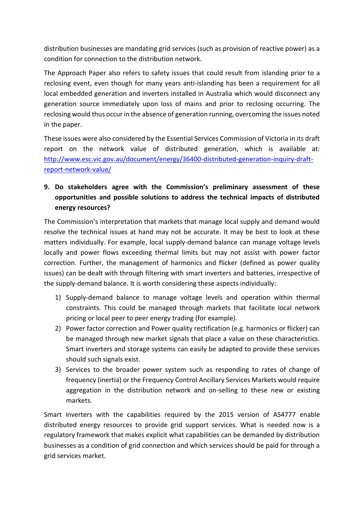distribution businesses are mandating grid services (such as provision of reactive power) as a condition for connection to the distribution network.

The Approach Paper also refers to safety issues that could result from islanding prior to a reclosing event, even though for many years anti-islanding has been a requirement for all local embedded generation and inverters installed in Australia which would disconnect any generation source immediately upon loss of mains and prior to reclosing occurring. The reclosing would thus occur in the absence of generation running, overcoming the issues noted in the paper.

These issues were also considered by the Essential Services Commission of Victoria in its draft report on the network value of distributed generation, which is available at: [http://www.esc.vic.gov.au/document/energy/36400-distributed-generation-inquiry-draft](http://www.esc.vic.gov.au/document/energy/36400-distributed-generation-inquiry-draft-report-network-value/)[report-network-value/](http://www.esc.vic.gov.au/document/energy/36400-distributed-generation-inquiry-draft-report-network-value/)

### **9. Do stakeholders agree with the Commission's preliminary assessment of these opportunities and possible solutions to address the technical impacts of distributed energy resources?**

The Commission's interpretation that markets that manage local supply and demand would resolve the technical issues at hand may not be accurate. It may be best to look at these matters individually. For example, local supply-demand balance can manage voltage levels locally and power flows exceeding thermal limits but may not assist with power factor correction. Further, the management of harmonics and flicker (defined as power quality issues) can be dealt with through filtering with smart inverters and batteries, irrespective of the supply-demand balance. It is worth considering these aspects individually:

- 1) Supply-demand balance to manage voltage levels and operation within thermal constraints. This could be managed through markets that facilitate local network pricing or local peer to peer energy trading (for example).
- 2) Power factor correction and Power quality rectification (e.g. harmonics or flicker) can be managed through new market signals that place a value on these characteristics. Smart inverters and storage systems can easily be adapted to provide these services should such signals exist.
- 3) Services to the broader power system such as responding to rates of change of frequency (inertia) or the Frequency Control Ancillary Services Markets would require aggregation in the distribution network and on-selling to these new or existing markets.

Smart inverters with the capabilities required by the 2015 version of AS4777 enable distributed energy resources to provide grid support services. What is needed now is a regulatory framework that makes explicit what capabilities can be demanded by distribution businesses as a condition of grid connection and which services should be paid for through a grid services market.